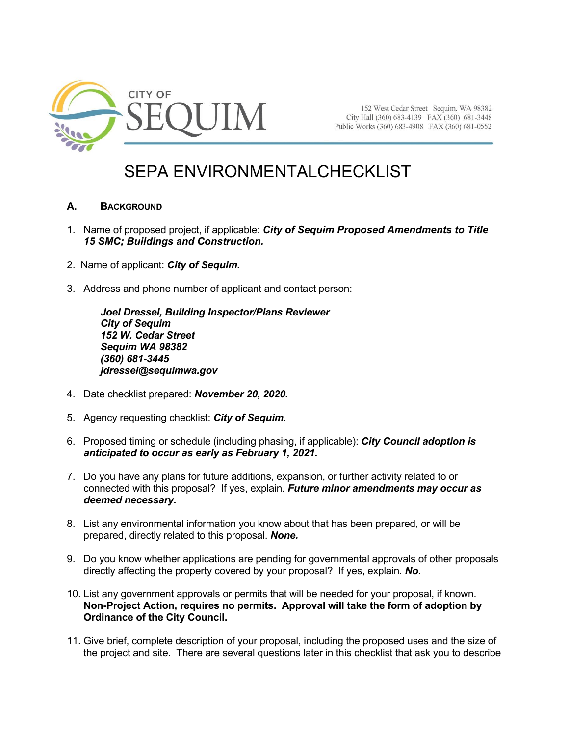

152 West Cedar Street Sequim, WA 98382 City Hall (360) 683-4139 FAX (360) 681-3448 Public Works (360) 683-4908 FAX (360) 681-0552

# SEPA ENVIRONMENTALCHECKLIST

# **A. BACKGROUND**

- 1. Name of proposed project, if applicable: *City of Sequim Proposed Amendments to Title 15 SMC; Buildings and Construction.*
- 2. Name of applicant: *City of Sequim.*
- 3. Address and phone number of applicant and contact person:

*Joel Dressel, Building Inspector/Plans Reviewer City of Sequim 152 W. Cedar Street Sequim WA 98382 (360) 681-3445 jdressel@sequimwa.gov*

- 4. Date checklist prepared: *November 20, 2020.*
- 5. Agency requesting checklist: *City of Sequim.*
- 6. Proposed timing or schedule (including phasing, if applicable): *City Council adoption is anticipated to occur as early as February 1, 2021***.**
- 7. Do you have any plans for future additions, expansion, or further activity related to or connected with this proposal? If yes, explain*. Future minor amendments may occur as deemed necessary.*
- 8. List any environmental information you know about that has been prepared, or will be prepared, directly related to this proposal. *None.*
- 9. Do you know whether applications are pending for governmental approvals of other proposals directly affecting the property covered by your proposal? If yes, explain. *No.*
- 10. List any government approvals or permits that will be needed for your proposal, if known. **Non-Project Action, requires no permits. Approval will take the form of adoption by Ordinance of the City Council.**
- 11. Give brief, complete description of your proposal, including the proposed uses and the size of the project and site. There are several questions later in this checklist that ask you to describe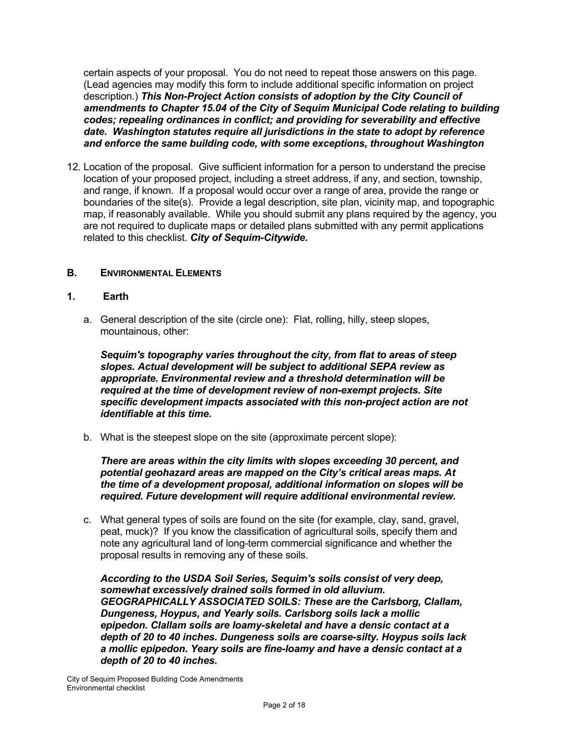certain aspects of your proposal. You do not need to repeat those answers on this page. (Lead agencies may modify this form to include additional specific information on project description.) *This Non-Project Action consists of adoption by the City Council of amendments to Chapter 15.04 of the City of Sequim Municipal Code relating to building codes; repealing ordinances in conflict; and providing for severability and effective date. Washington statutes require all jurisdictions in the state to adopt by reference and enforce the same building code, with some exceptions, throughout Washington*

12. Location of the proposal. Give sufficient information for a person to understand the precise location of your proposed project, including a street address, if any, and section, township, and range, if known. If a proposal would occur over a range of area, provide the range or boundaries of the site(s). Provide a legal description, site plan, vicinity map, and topographic map, if reasonably available. While you should submit any plans required by the agency, you are not required to duplicate maps or detailed plans submitted with any permit applications related to this checklist. *City of Sequim-Citywide***.**

# **B.** ENVIRONMENTAL ELEMENTS

#### **1. Earth**

a. General description of the site (circle one): Flat, rolling, hilly, steep slopes, mountainous, other:

*Sequim's topography varies throughout the city, from flat to areas of steep slopes. Actual development will be subject to additional SEPA review as appropriate. Environmental review and a threshold determination will be required at the time of development review of non-exempt projects. Site specific development impacts associated with this non-project action are not identifiable at this time.*

b. What is the steepest slope on the site (approximate percent slope):

*There are areas within the city limits with slopes exceeding 30 percent, and potential geohazard areas are mapped on the City's critical areas maps. At the time of a development proposal, additional information on slopes will be required. Future development will require additional environmental review.*

c. What general types of soils are found on the site (for example, clay, sand, gravel, peat, muck)? If you know the classification of agricultural soils, specify them and note any agricultural land of long-term commercial significance and whether the proposal results in removing any of these soils.

*According to the USDA Soil Series, Sequim's soils consist of very deep, somewhat excessively drained soils formed in old alluvium. GEOGRAPHICALLY ASSOCIATED SOILS: These are the Carlsborg, Clallam, Dungeness, Hoypus, and Yearly soils. Carlsborg soils lack a mollic epipedon. Clallam soils are loamy-skeletal and have a densic contact at a depth of 20 to 40 inches. Dungeness soils are coarse-silty. Hoypus soils lack a mollic epipedon. Yeary soils are fine-loamy and have a densic contact at a depth of 20 to 40 inches.*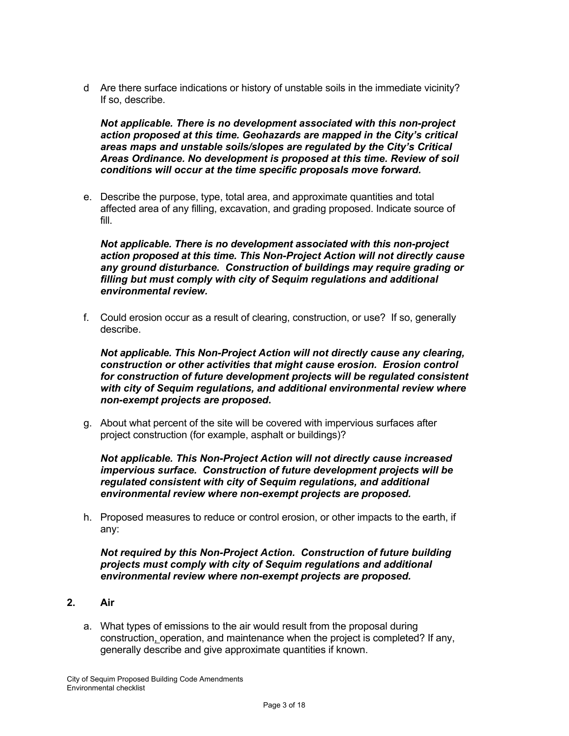d Are there surface indications or history of unstable soils in the immediate vicinity? If so, describe.

*Not applicable. There is no development associated with this non-project action proposed at this time. Geohazards are mapped in the City's critical areas maps and unstable soils/slopes are regulated by the City's Critical Areas Ordinance. No development is proposed at this time. Review of soil conditions will occur at the time specific proposals move forward.*

e. Describe the purpose, type, total area, and approximate quantities and total affected area of any filling, excavation, and grading proposed. Indicate source of fill.

*Not applicable. There is no development associated with this non-project action proposed at this time. This Non-Project Action will not directly cause any ground disturbance. Construction of buildings may require grading or filling but must comply with city of Sequim regulations and additional environmental review.*

f. Could erosion occur as a result of clearing, construction, or use? If so, generally describe.

*Not applicable. This Non-Project Action will not directly cause any clearing, construction or other activities that might cause erosion. Erosion control for construction of future development projects will be regulated consistent with city of Sequim regulations, and additional environmental review where non-exempt projects are proposed***.**

g. About what percent of the site will be covered with impervious surfaces after project construction (for example, asphalt or buildings)?

*Not applicable. This Non-Project Action will not directly cause increased impervious surface. Construction of future development projects will be regulated consistent with city of Sequim regulations, and additional environmental review where non-exempt projects are proposed.*

h. Proposed measures to reduce or control erosion, or other impacts to the earth, if any:

*Not required by this Non-Project Action. Construction of future building projects must comply with city of Sequim regulations and additional environmental review where non-exempt projects are proposed.*

- **2. Air**
	- a. What types of emissions to the air would result from the proposal during construction, operation, and maintenance when the project is completed? If any, generally describe and give approximate quantities if known.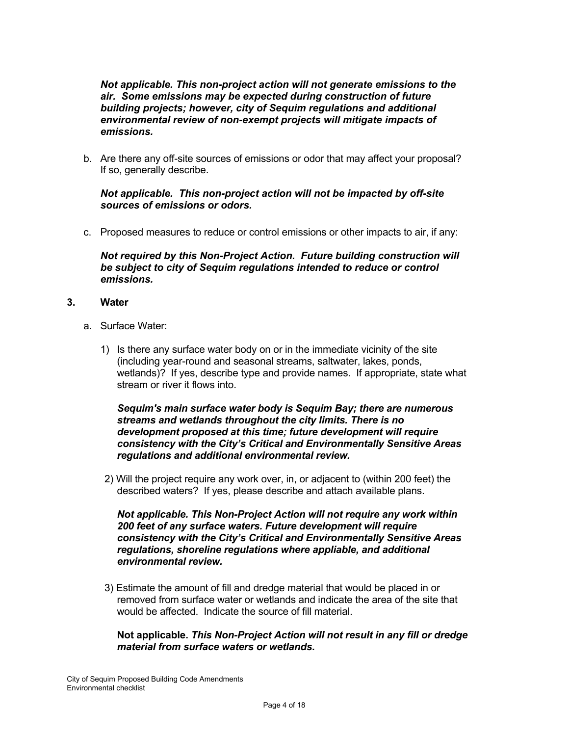*Not applicable. This non-project action will not generate emissions to the air. Some emissions may be expected during construction of future building projects; however, city of Sequim regulations and additional environmental review of non-exempt projects will mitigate impacts of emissions.* 

b. Are there any off-site sources of emissions or odor that may affect your proposal? If so, generally describe.

# *Not applicable. This non-project action will not be impacted by off-site sources of emissions or odors.*

c. Proposed measures to reduce or control emissions or other impacts to air, if any:

*Not required by this Non-Project Action. Future building construction will be subject to city of Sequim regulations intended to reduce or control emissions.*

- **3. Water**
	- a. Surface Water:
		- 1) Is there any surface water body on or in the immediate vicinity of the site (including year-round and seasonal streams, saltwater, lakes, ponds, wetlands)? If yes, describe type and provide names. If appropriate, state what stream or river it flows into.

#### *Sequim's main surface water body is Sequim Bay; there are numerous streams and wetlands throughout the city limits. There is no development proposed at this time; future development will require consistency with the City's Critical and Environmentally Sensitive Areas regulations and additional environmental review.*

2) Will the project require any work over, in, or adjacent to (within 200 feet) the described waters? If yes, please describe and attach available plans.

#### *Not applicable. This Non-Project Action will not require any work within 200 feet of any surface waters. Future development will require consistency with the City's Critical and Environmentally Sensitive Areas regulations, shoreline regulations where appliable, and additional environmental review.*

3) Estimate the amount of fill and dredge material that would be placed in or removed from surface water or wetlands and indicate the area of the site that would be affected. Indicate the source of fill material

**Not applicable.** *This Non-Project Action will not result in any fill or dredge material from surface waters or wetlands.*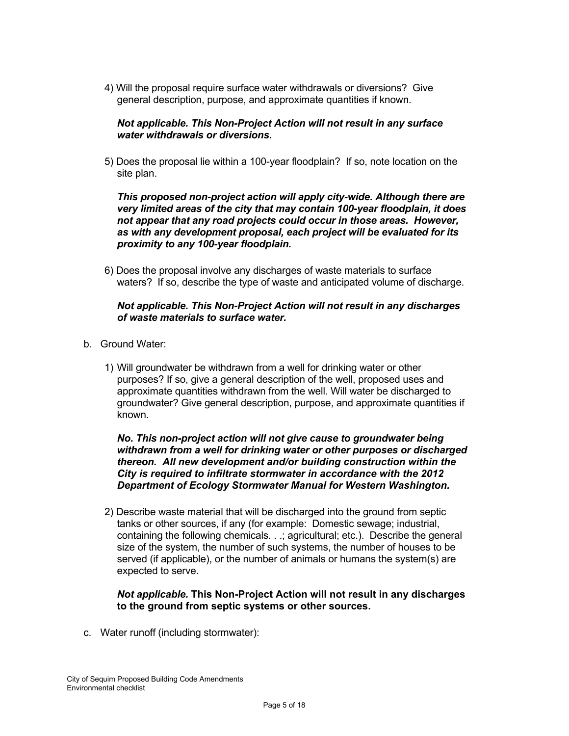4) Will the proposal require surface water withdrawals or diversions? Give general description, purpose, and approximate quantities if known.

# *Not applicable. This Non-Project Action will not result in any surface water withdrawals or diversions.*

5) Does the proposal lie within a 100-year floodplain? If so, note location on the site plan.

*This proposed non-project action will apply city-wide. Although there are very limited areas of the city that may contain 100-year floodplain, it does not appear that any road projects could occur in those areas. However, as with any development proposal, each project will be evaluated for its proximity to any 100-year floodplain.*

6) Does the proposal involve any discharges of waste materials to surface waters? If so, describe the type of waste and anticipated volume of discharge.

#### *Not applicable. This Non-Project Action will not result in any discharges of waste materials to surface water.*

- b. Ground Water:
	- 1) Will groundwater be withdrawn from a well for drinking water or other purposes? If so, give a general description of the well, proposed uses and approximate quantities withdrawn from the well. Will water be discharged to groundwater? Give general description, purpose, and approximate quantities if known.

*No. This non-project action will not give cause to groundwater being withdrawn from a well for drinking water or other purposes or discharged thereon. All new development and/or building construction within the City is required to infiltrate stormwater in accordance with the 2012 Department of Ecology Stormwater Manual for Western Washington.* 

2) Describe waste material that will be discharged into the ground from septic tanks or other sources, if any (for example: Domestic sewage; industrial, containing the following chemicals. . .; agricultural; etc.). Describe the general size of the system, the number of such systems, the number of houses to be served (if applicable), or the number of animals or humans the system(s) are expected to serve.

# *Not applicable.* **This Non-Project Action will not result in any discharges to the ground from septic systems or other sources.**

c. Water runoff (including stormwater):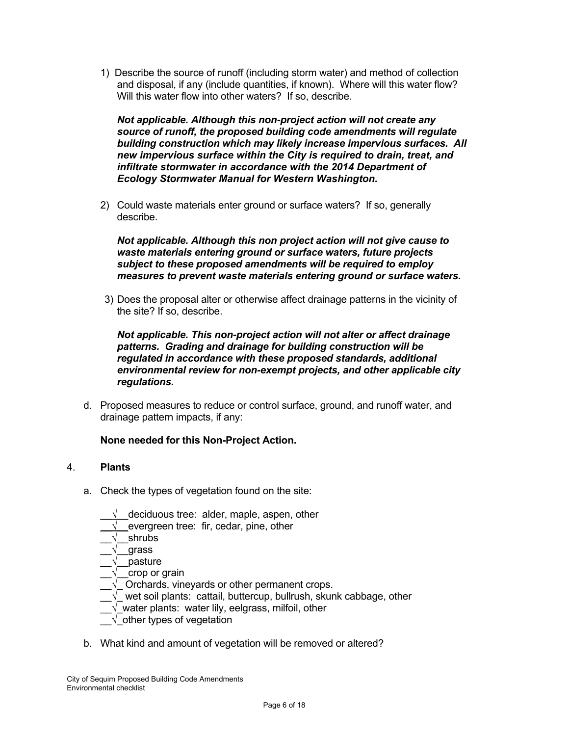1) Describe the source of runoff (including storm water) and method of collection and disposal, if any (include quantities, if known). Where will this water flow? Will this water flow into other waters? If so, describe.

*Not applicable. Although this non-project action will not create any source of runoff, the proposed building code amendments will regulate building construction which may likely increase impervious surfaces. All new impervious surface within the City is required to drain, treat, and infiltrate stormwater in accordance with the 2014 Department of Ecology Stormwater Manual for Western Washington.* 

2) Could waste materials enter ground or surface waters? If so, generally describe.

*Not applicable. Although this non project action will not give cause to waste materials entering ground or surface waters, future projects subject to these proposed amendments will be required to employ measures to prevent waste materials entering ground or surface waters.*

3) Does the proposal alter or otherwise affect drainage patterns in the vicinity of the site? If so, describe.

*Not applicable. This non-project action will not alter or affect drainage patterns. Grading and drainage for building construction will be regulated in accordance with these proposed standards, additional environmental review for non-exempt projects, and other applicable city regulations.* 

d. Proposed measures to reduce or control surface, ground, and runoff water, and drainage pattern impacts, if any:

# **None needed for this Non-Project Action.**

# 4. **Plants**

- a. Check the types of vegetation found on the site:
	- $\sqrt{\phantom{a}}$  deciduous tree: alder, maple, aspen, other
	- $\sqrt{\phantom{a}}$  evergreen tree: fir, cedar, pine, other
	- $\sqrt{\phantom{a}}$  shrubs
	- \_\_√\_\_grass
	- $\overline{\sqrt{ }}$  pasture
	- $\sqrt{\phantom{a}}$  crop or grain
	- $\sqrt{\phantom{a}}$  Orchards, vineyards or other permanent crops.
	- $\rho_\text{L}$  wet soil plants: cattail, buttercup, bullrush, skunk cabbage, other
	- $\sqrt{ }$  water plants: water lily, eelgrass, milfoil, other
	- $\sqrt{\phantom{a}}$  other types of vegetation
- b. What kind and amount of vegetation will be removed or altered?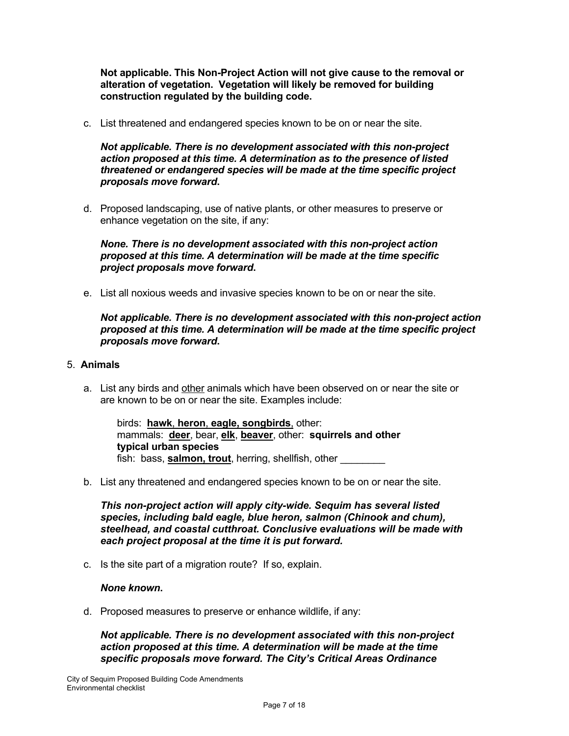**Not applicable. This Non-Project Action will not give cause to the removal or alteration of vegetation. Vegetation will likely be removed for building construction regulated by the building code.**

c. List threatened and endangered species known to be on or near the site.

*Not applicable. There is no development associated with this non-project action proposed at this time. A determination as to the presence of listed threatened or endangered species will be made at the time specific project proposals move forward***.**

d. Proposed landscaping, use of native plants, or other measures to preserve or enhance vegetation on the site, if any:

*None. There is no development associated with this non-project action proposed at this time. A determination will be made at the time specific project proposals move forward***.**

e. List all noxious weeds and invasive species known to be on or near the site.

*Not applicable. There is no development associated with this non-project action proposed at this time. A determination will be made at the time specific project proposals move forward***.**

#### 5. **Animals**

a. List any birds and other animals which have been observed on or near the site or are known to be on or near the site. Examples include:

birds: **hawk**, **heron**, **eagle, songbirds**, other: mammals: **deer**, bear, **elk**, **beaver**, other: **squirrels and other typical urban species** fish: bass, **salmon, trout**, herring, shellfish, other

b. List any threatened and endangered species known to be on or near the site.

*This non-project action will apply city-wide. Sequim has several listed species, including bald eagle, blue heron, salmon (Chinook and chum), steelhead, and coastal cutthroat. Conclusive evaluations will be made with each project proposal at the time it is put forward.* 

c. Is the site part of a migration route? If so, explain.

#### *None known***.**

d. Proposed measures to preserve or enhance wildlife, if any:

*Not applicable. There is no development associated with this non-project action proposed at this time. A determination will be made at the time specific proposals move forward. The City's Critical Areas Ordinance*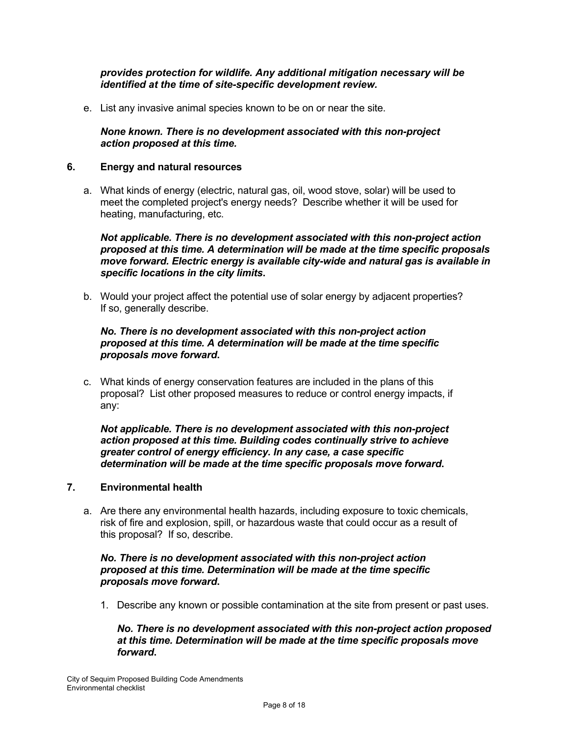# *provides protection for wildlife. Any additional mitigation necessary will be identified at the time of site-specific development review.*

e. List any invasive animal species known to be on or near the site.

# *None known. There is no development associated with this non-project action proposed at this time.*

#### **6. Energy and natural resources**

a. What kinds of energy (electric, natural gas, oil, wood stove, solar) will be used to meet the completed project's energy needs? Describe whether it will be used for heating, manufacturing, etc.

*Not applicable. There is no development associated with this non-project action proposed at this time. A determination will be made at the time specific proposals move forward. Electric energy is available city-wide and natural gas is available in specific locations in the city limits***.**

b. Would your project affect the potential use of solar energy by adjacent properties? If so, generally describe.

# *No. There is no development associated with this non-project action proposed at this time. A determination will be made at the time specific proposals move forward***.**

c. What kinds of energy conservation features are included in the plans of this proposal? List other proposed measures to reduce or control energy impacts, if any:

*Not applicable. There is no development associated with this non-project action proposed at this time. Building codes continually strive to achieve greater control of energy efficiency. In any case, a case specific determination will be made at the time specific proposals move forward***.**

#### **7. Environmental health**

a. Are there any environmental health hazards, including exposure to toxic chemicals, risk of fire and explosion, spill, or hazardous waste that could occur as a result of this proposal? If so, describe.

# *No. There is no development associated with this non-project action proposed at this time. Determination will be made at the time specific proposals move forward***.**

1. Describe any known or possible contamination at the site from present or past uses.

*No. There is no development associated with this non-project action proposed at this time. Determination will be made at the time specific proposals move forward***.**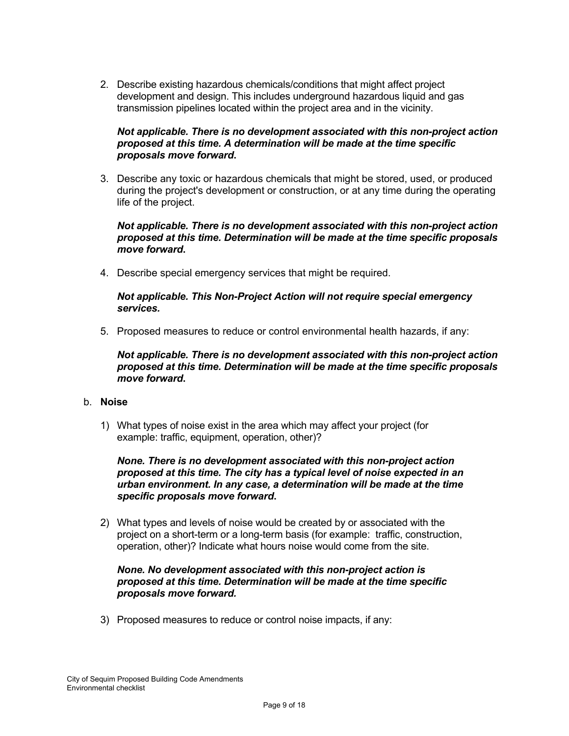2. Describe existing hazardous chemicals/conditions that might affect project development and design. This includes underground hazardous liquid and gas transmission pipelines located within the project area and in the vicinity.

# *Not applicable. There is no development associated with this non-project action proposed at this time. A determination will be made at the time specific proposals move forward***.**

3. Describe any toxic or hazardous chemicals that might be stored, used, or produced during the project's development or construction, or at any time during the operating life of the project.

#### *Not applicable. There is no development associated with this non-project action proposed at this time. Determination will be made at the time specific proposals move forward***.**

4. Describe special emergency services that might be required.

#### *Not applicable. This Non-Project Action will not require special emergency services.*

5. Proposed measures to reduce or control environmental health hazards, if any:

*Not applicable. There is no development associated with this non-project action proposed at this time. Determination will be made at the time specific proposals move forward***.**

#### b. **Noise**

1) What types of noise exist in the area which may affect your project (for example: traffic, equipment, operation, other)?

#### *None. There is no development associated with this non-project action proposed at this time. The city has a typical level of noise expected in an urban environment. In any case, a determination will be made at the time specific proposals move forward***.**

2) What types and levels of noise would be created by or associated with the project on a short-term or a long-term basis (for example: traffic, construction, operation, other)? Indicate what hours noise would come from the site.

#### *None. No development associated with this non-project action is proposed at this time. Determination will be made at the time specific proposals move forward.*

3) Proposed measures to reduce or control noise impacts, if any: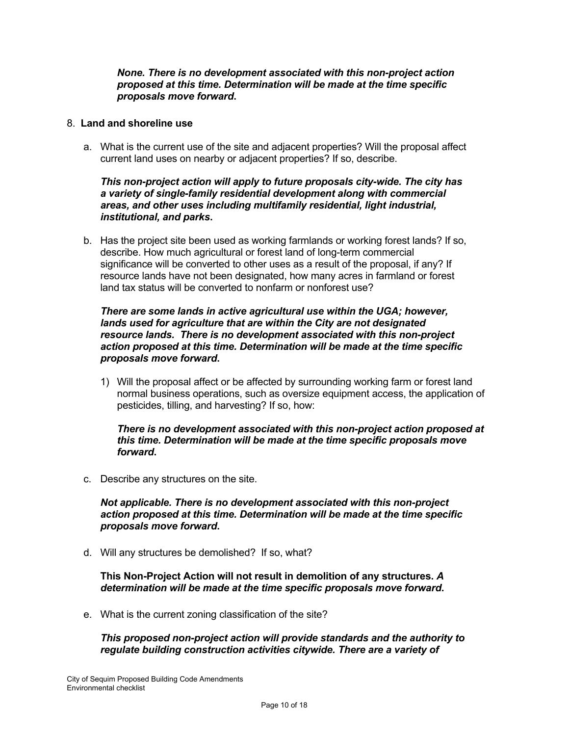#### *None. There is no development associated with this non-project action proposed at this time. Determination will be made at the time specific proposals move forward***.**

#### 8. **Land and shoreline use**

a. What is the current use of the site and adjacent properties? Will the proposal affect current land uses on nearby or adjacent properties? If so, describe.

*This non-project action will apply to future proposals city-wide. The city has a variety of single-family residential development along with commercial areas, and other uses including multifamily residential, light industrial, institutional, and parks***.** 

b. Has the project site been used as working farmlands or working forest lands? If so, describe. How much agricultural or forest land of long-term commercial significance will be converted to other uses as a result of the proposal, if any? If resource lands have not been designated, how many acres in farmland or forest land tax status will be converted to nonfarm or nonforest use?

# *There are some lands in active agricultural use within the UGA; however, lands used for agriculture that are within the City are not designated resource lands. There is no development associated with this non-project action proposed at this time. Determination will be made at the time specific proposals move forward***.**

1) Will the proposal affect or be affected by surrounding working farm or forest land normal business operations, such as oversize equipment access, the application of pesticides, tilling, and harvesting? If so, how:

*There is no development associated with this non-project action proposed at this time. Determination will be made at the time specific proposals move forward***.**

c. Describe any structures on the site.

*Not applicable. There is no development associated with this non-project action proposed at this time. Determination will be made at the time specific proposals move forward***.** 

d. Will any structures be demolished? If so, what?

**This Non-Project Action will not result in demolition of any structures.** *A determination will be made at the time specific proposals move forward***.** 

e. What is the current zoning classification of the site?

*This proposed non-project action will provide standards and the authority to regulate building construction activities citywide. There are a variety of*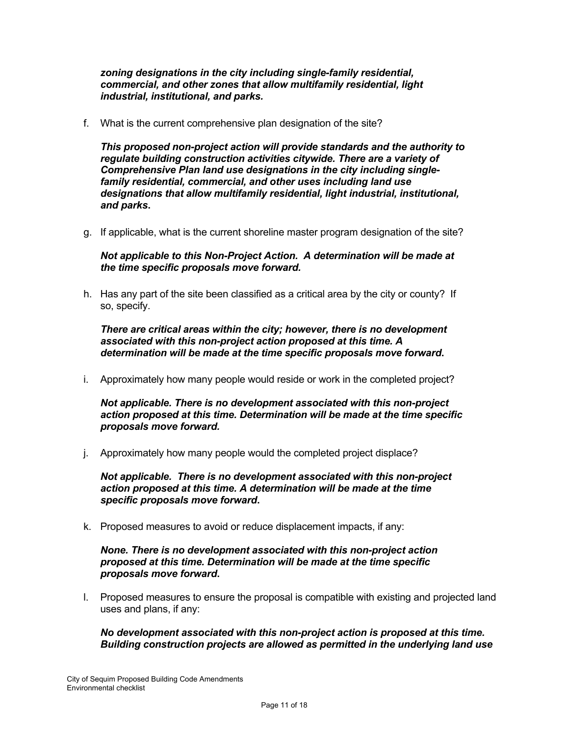*zoning designations in the city including single-family residential, commercial, and other zones that allow multifamily residential, light industrial, institutional, and parks.*

f. What is the current comprehensive plan designation of the site?

*This proposed non-project action will provide standards and the authority to regulate building construction activities citywide. There are a variety of Comprehensive Plan land use designations in the city including singlefamily residential, commercial, and other uses including land use designations that allow multifamily residential, light industrial, institutional, and parks***.**

g. If applicable, what is the current shoreline master program designation of the site?

*Not applicable to this Non-Project Action. A determination will be made at the time specific proposals move forward.*

h. Has any part of the site been classified as a critical area by the city or county? If so, specify.

*There are critical areas within the city; however, there is no development associated with this non-project action proposed at this time. A determination will be made at the time specific proposals move forward***.**

i. Approximately how many people would reside or work in the completed project?

*Not applicable. There is no development associated with this non-project action proposed at this time. Determination will be made at the time specific proposals move forward.*

j. Approximately how many people would the completed project displace?

*Not applicable. There is no development associated with this non-project action proposed at this time. A determination will be made at the time specific proposals move forward***.**

k. Proposed measures to avoid or reduce displacement impacts, if any:

*None. There is no development associated with this non-project action proposed at this time. Determination will be made at the time specific proposals move forward***.**

l. Proposed measures to ensure the proposal is compatible with existing and projected land uses and plans, if any:

*No development associated with this non-project action is proposed at this time. Building construction projects are allowed as permitted in the underlying land use*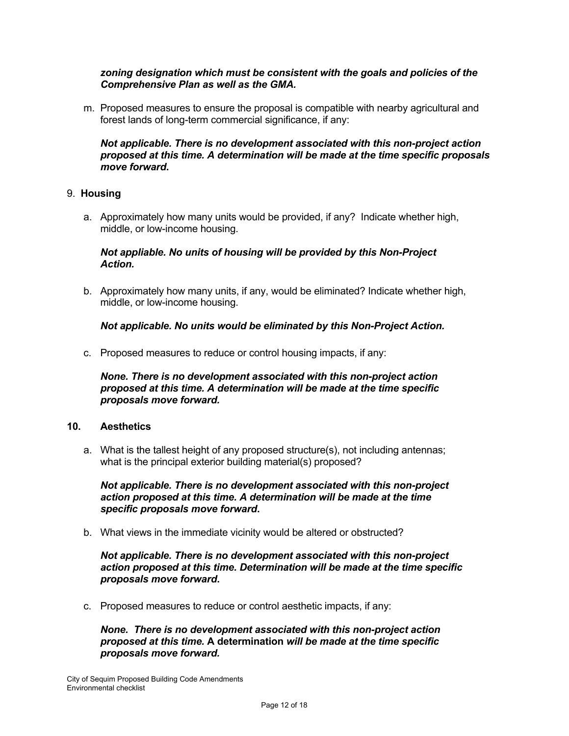# *zoning designation which must be consistent with the goals and policies of the Comprehensive Plan as well as the GMA.*

m. Proposed measures to ensure the proposal is compatible with nearby agricultural and forest lands of long-term commercial significance, if any:

*Not applicable. There is no development associated with this non-project action proposed at this time. A determination will be made at the time specific proposals move forward***.**

# 9. **Housing**

a. Approximately how many units would be provided, if any? Indicate whether high, middle, or low-income housing.

# *Not appliable. No units of housing will be provided by this Non-Project Action.*

b. Approximately how many units, if any, would be eliminated? Indicate whether high, middle, or low-income housing.

# *Not applicable. No units would be eliminated by this Non-Project Action.*

c. Proposed measures to reduce or control housing impacts, if any:

*None. There is no development associated with this non-project action proposed at this time. A determination will be made at the time specific proposals move forward.*

#### **10. Aesthetics**

a. What is the tallest height of any proposed structure(s), not including antennas; what is the principal exterior building material(s) proposed?

*Not applicable. There is no development associated with this non-project action proposed at this time. A determination will be made at the time specific proposals move forward***.** 

b. What views in the immediate vicinity would be altered or obstructed?

#### *Not applicable. There is no development associated with this non-project action proposed at this time. Determination will be made at the time specific proposals move forward***.**

c. Proposed measures to reduce or control aesthetic impacts, if any:

*None. There is no development associated with this non-project action proposed at this time.* **A determination** *will be made at the time specific proposals move forward.*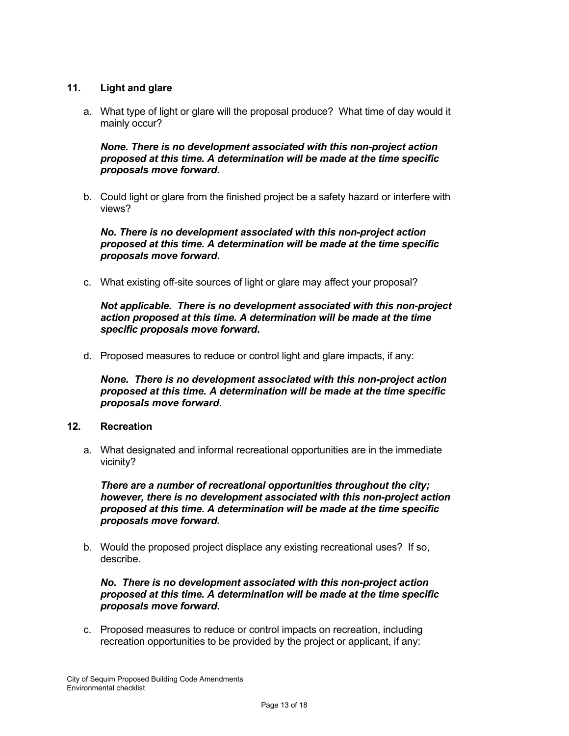# **11. Light and glare**

a. What type of light or glare will the proposal produce? What time of day would it mainly occur?

*None. There is no development associated with this non-project action proposed at this time. A determination will be made at the time specific proposals move forward***.**

b. Could light or glare from the finished project be a safety hazard or interfere with views?

*No. There is no development associated with this non-project action proposed at this time. A determination will be made at the time specific proposals move forward***.**

c. What existing off-site sources of light or glare may affect your proposal?

*Not applicable. There is no development associated with this non-project action proposed at this time. A determination will be made at the time specific proposals move forward***.**

d. Proposed measures to reduce or control light and glare impacts, if any:

*None. There is no development associated with this non-project action proposed at this time. A determination will be made at the time specific proposals move forward***.**

# **12. Recreation**

a. What designated and informal recreational opportunities are in the immediate vicinity?

*There are a number of recreational opportunities throughout the city; however, there is no development associated with this non-project action proposed at this time. A determination will be made at the time specific proposals move forward***.**

b. Would the proposed project displace any existing recreational uses? If so, describe.

*No. There is no development associated with this non-project action proposed at this time. A determination will be made at the time specific proposals move forward***.**

c. Proposed measures to reduce or control impacts on recreation, including recreation opportunities to be provided by the project or applicant, if any: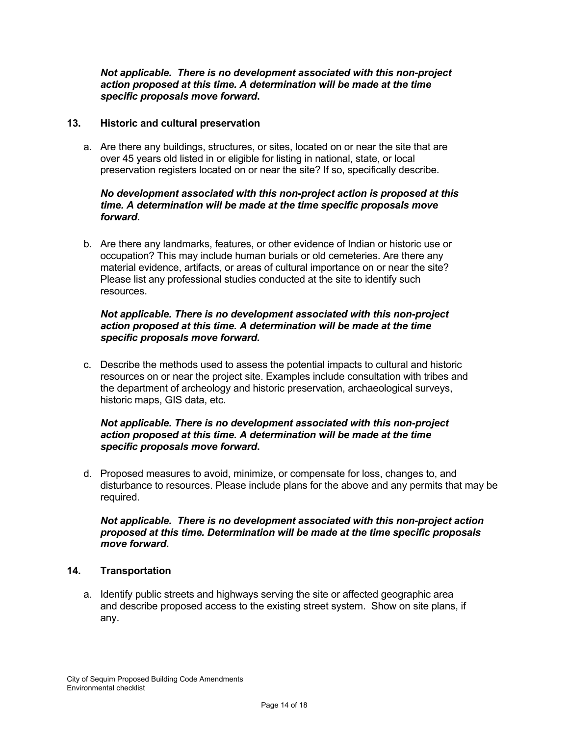#### *Not applicable. There is no development associated with this non-project action proposed at this time. A determination will be made at the time specific proposals move forward***.**

# **13. Historic and cultural preservation**

a. Are there any buildings, structures, or sites, located on or near the site that are over 45 years old listed in or eligible for listing in national, state, or local preservation registers located on or near the site? If so, specifically describe.

# *No development associated with this non-project action is proposed at this time. A determination will be made at the time specific proposals move forward***.**

b. Are there any landmarks, features, or other evidence of Indian or historic use or occupation? This may include human burials or old cemeteries. Are there any material evidence, artifacts, or areas of cultural importance on or near the site? Please list any professional studies conducted at the site to identify such resources.

# *Not applicable. There is no development associated with this non-project action proposed at this time. A determination will be made at the time specific proposals move forward.*

c. Describe the methods used to assess the potential impacts to cultural and historic resources on or near the project site. Examples include consultation with tribes and the department of archeology and historic preservation, archaeological surveys, historic maps, GIS data, etc.

# *Not applicable. There is no development associated with this non-project action proposed at this time. A determination will be made at the time specific proposals move forward***.**

d. Proposed measures to avoid, minimize, or compensate for loss, changes to, and disturbance to resources. Please include plans for the above and any permits that may be required.

# *Not applicable. There is no development associated with this non-project action proposed at this time. Determination will be made at the time specific proposals move forward***.**

# **14. Transportation**

a. Identify public streets and highways serving the site or affected geographic area and describe proposed access to the existing street system. Show on site plans, if any.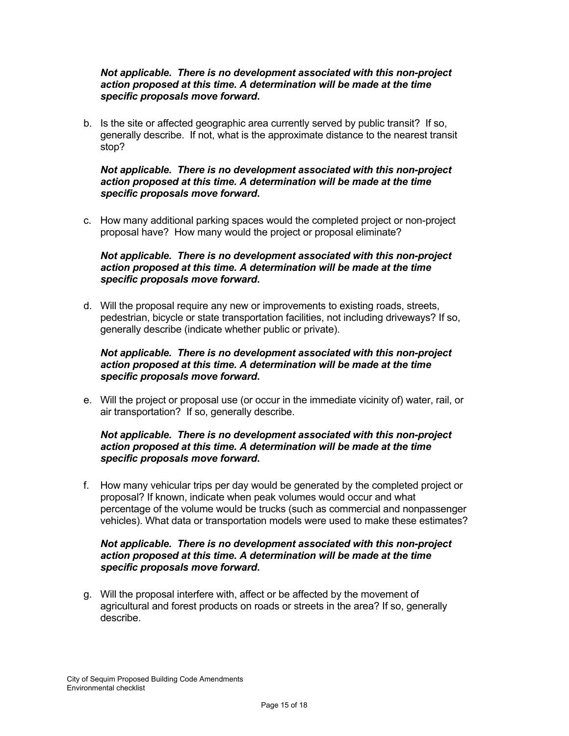#### *Not applicable. There is no development associated with this non-project action proposed at this time. A determination will be made at the time specific proposals move forward***.**

b. Is the site or affected geographic area currently served by public transit? If so, generally describe. If not, what is the approximate distance to the nearest transit stop?

# *Not applicable. There is no development associated with this non-project action proposed at this time. A determination will be made at the time specific proposals move forward***.**

c. How many additional parking spaces would the completed project or non-project proposal have? How many would the project or proposal eliminate?

# *Not applicable. There is no development associated with this non-project action proposed at this time. A determination will be made at the time specific proposals move forward***.**

d. Will the proposal require any new or improvements to existing roads, streets, pedestrian, bicycle or state transportation facilities, not including driveways? If so, generally describe (indicate whether public or private).

# *Not applicable. There is no development associated with this non-project action proposed at this time. A determination will be made at the time specific proposals move forward***.**

e. Will the project or proposal use (or occur in the immediate vicinity of) water, rail, or air transportation? If so, generally describe.

# *Not applicable. There is no development associated with this non-project action proposed at this time. A determination will be made at the time specific proposals move forward***.**

f. How many vehicular trips per day would be generated by the completed project or proposal? If known, indicate when peak volumes would occur and what percentage of the volume would be trucks (such as commercial and nonpassenger vehicles). What data or transportation models were used to make these estimates?

#### *Not applicable. There is no development associated with this non-project action proposed at this time. A determination will be made at the time specific proposals move forward***.**

g. Will the proposal interfere with, affect or be affected by the movement of agricultural and forest products on roads or streets in the area? If so, generally describe.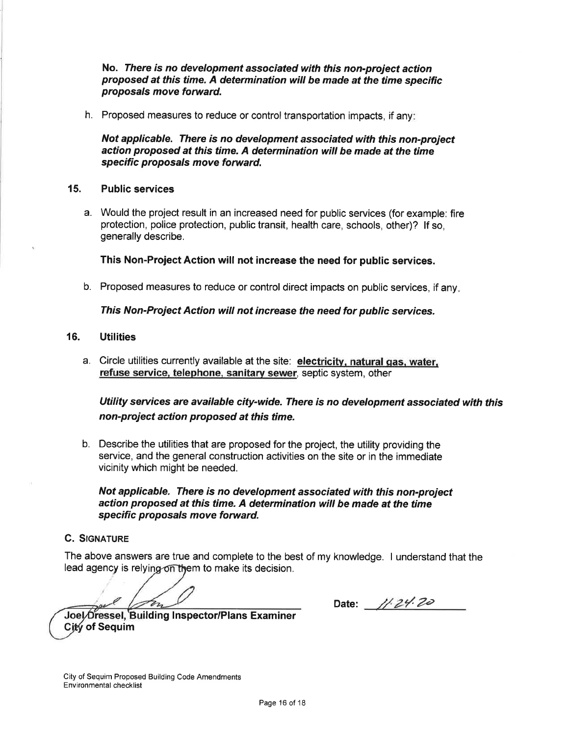#### No. There is no development associated with this non-project action proposed at this time. A determination will be made at the time specific proposals move forward.

h. Proposed measures to reduce or control transportation impacts, if any.

Not applicable. There is no development associated with this non-project action proposed at this time. A determination will be made at the time specific proposals move forward.

#### 15. Public seruices

a. Would the project result in an increased need for public services (for example: fire protection, police protection, public transit, health care, schools, other)? lf so, generally describe.

This Non-Project Action will not increase the need for public services.

b. Proposed measures to reduce or control direct impacts on public services, if any

This Non-Project Action will not increase the need for public services.

#### 16. **Utilities**

a. Circle utilities currently available at the site: electricitv, natural qas. water. refuse service, telephone, sanitary sewer, septic system, other

Utility services are available city-wide. There is no development associated with this non-project action proposed at this time.

b. Describe the utilities that are proposed for the project, the utility providing the service, and the general construction activities on the site or in the immediate vicinity which might be needed.

Not applicable. There is no development associated with this non-project action proposed at this time. A determination will be made at the time specific proposals move forward.

#### **C. SIGNATURE**

The above answers are true and complete to the best of my knowledge. I understand that the lead agency is relying on them to make its decision.

Date: 11.24.20

Joel Dressel, Building Inspector/Plans Examiner **City of Sequim**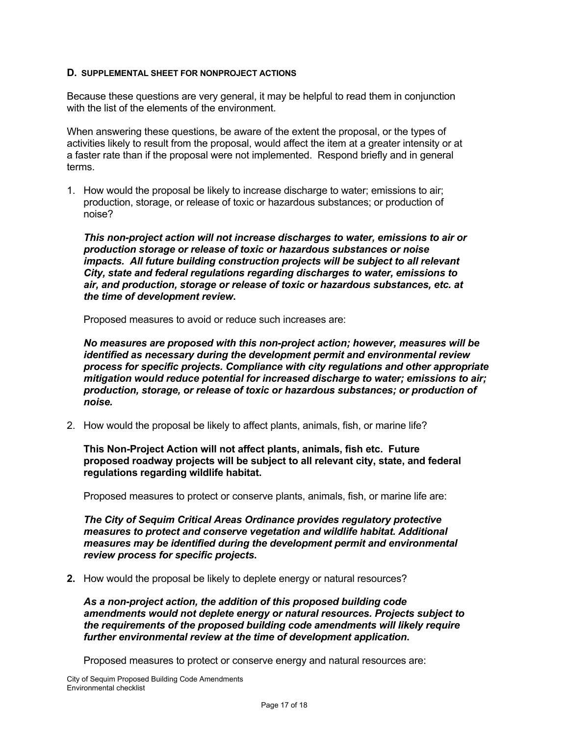#### **D. SUPPLEMENTAL SHEET FOR NONPROJECT ACTIONS**

Because these questions are very general, it may be helpful to read them in conjunction with the list of the elements of the environment.

When answering these questions, be aware of the extent the proposal, or the types of activities likely to result from the proposal, would affect the item at a greater intensity or at a faster rate than if the proposal were not implemented. Respond briefly and in general terms.

1. How would the proposal be likely to increase discharge to water; emissions to air; production, storage, or release of toxic or hazardous substances; or production of noise?

*This non-project action will not increase discharges to water, emissions to air or production storage or release of toxic or hazardous substances or noise impacts. All future building construction projects will be subject to all relevant City, state and federal regulations regarding discharges to water, emissions to air, and production, storage or release of toxic or hazardous substances, etc. at the time of development review***.**

Proposed measures to avoid or reduce such increases are:

*No measures are proposed with this non-project action; however, measures will be identified as necessary during the development permit and environmental review process for specific projects. Compliance with city regulations and other appropriate mitigation would reduce potential for increased discharge to water; emissions to air; production, storage, or release of toxic or hazardous substances; or production of noise.*

2. How would the proposal be likely to affect plants, animals, fish, or marine life?

**This Non-Project Action will not affect plants, animals, fish etc. Future proposed roadway projects will be subject to all relevant city, state, and federal regulations regarding wildlife habitat.**

Proposed measures to protect or conserve plants, animals, fish, or marine life are:

*The City of Sequim Critical Areas Ordinance provides regulatory protective measures to protect and conserve vegetation and wildlife habitat. Additional measures may be identified during the development permit and environmental review process for specific projects***.**

**2.** How would the proposal be likely to deplete energy or natural resources?

*As a non-project action, the addition of this proposed building code amendments would not deplete energy or natural resources. Projects subject to the requirements of the proposed building code amendments will likely require further environmental review at the time of development application***.** 

Proposed measures to protect or conserve energy and natural resources are: